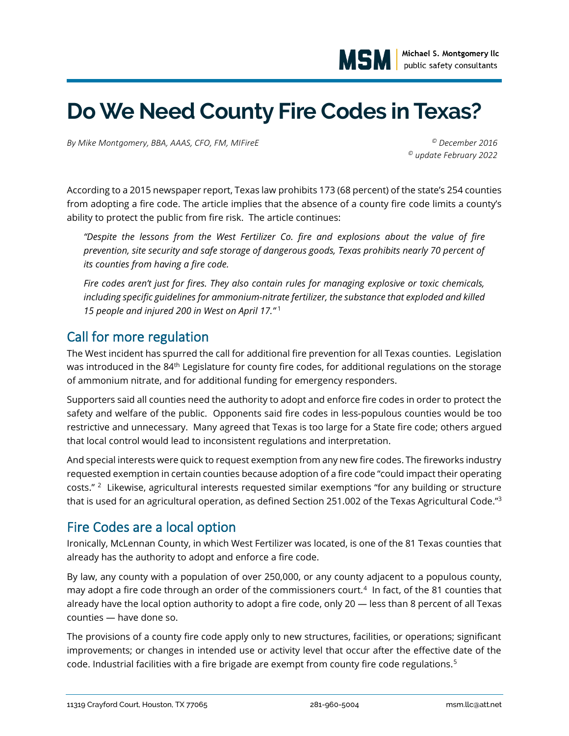

# **Do We Need County Fire Codes in Texas?**

*By Mike Montgomery, BBA, AAAS, CFO, FM, MIFireE © December 2016*

*© update February 2022*

According to a 2015 newspaper report, Texas law prohibits 173 (68 percent) of the state's 254 counties from adopting a fire code. The article implies that the absence of a county fire code limits a county's ability to protect the public from fire risk. The article continues:

*"Despite the lessons from the West Fertilizer Co. fire and explosions about the value of fire prevention, site security and safe storage of dangerous goods, Texas prohibits nearly 70 percent of its counties from having a fire code.*

*Fire codes aren't just for fires. They also contain rules for managing explosive or toxic chemicals, including specific guidelines for ammonium-nitrate fertilizer, the substance that exploded and killed 15 people and injured 200 in West on April 17."* <sup>1</sup>

#### Call for more regulation

The West incident has spurred the call for additional fire prevention for all Texas counties. Legislation was introduced in the 84<sup>th</sup> Legislature for county fire codes, for additional regulations on the storage of ammonium nitrate, and for additional funding for emergency responders.

Supporters said all counties need the authority to adopt and enforce fire codes in order to protect the safety and welfare of the public. Opponents said fire codes in less-populous counties would be too restrictive and unnecessary. Many agreed that Texas is too large for a State fire code; others argued that local control would lead to inconsistent regulations and interpretation.

And special interests were quick to request exemption from any new fire codes. The fireworks industry requested exemption in certain counties because adoption of a fire code "could impact their operating costs." <sup>2</sup> Likewise, agricultural interests requested similar exemptions "for any building or structure that is used for an agricultural operation, as defined Section 251.002 of the Texas Agricultural Code."<sup>3</sup>

#### Fire Codes are a local option

Ironically, McLennan County, in which West Fertilizer was located, is one of the 81 Texas counties that already has the authority to adopt and enforce a fire code.

By law, any county with a population of over 250,000, or any county adjacent to a populous county, may adopt a fire code through an order of the commissioners court.<sup>4</sup> In fact, of the 81 counties that already have the local option authority to adopt a fire code, only 20 — less than 8 percent of all Texas counties — have done so.

The provisions of a county fire code apply only to new structures, facilities, or operations; significant improvements; or changes in intended use or activity level that occur after the effective date of the code. Industrial facilities with a fire brigade are exempt from county fire code regulations.<sup>5</sup>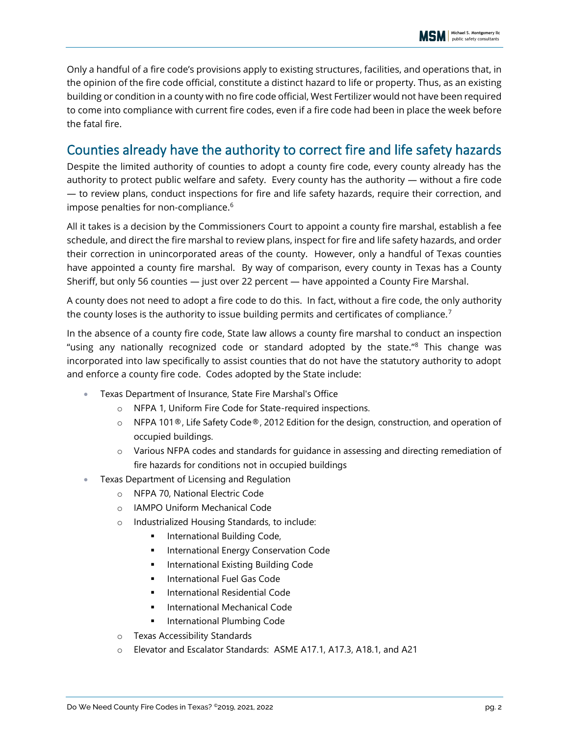Only a handful of a fire code's provisions apply to existing structures, facilities, and operations that, in the opinion of the fire code official, constitute a distinct hazard to life or property. Thus, as an existing building or condition in a county with no fire code official, West Fertilizer would not have been required to come into compliance with current fire codes, even if a fire code had been in place the week before the fatal fire.

## Counties already have the authority to correct fire and life safety hazards

Despite the limited authority of counties to adopt a county fire code, every county already has the authority to protect public welfare and safety. Every county has the authority — without a fire code — to review plans, conduct inspections for fire and life safety hazards, require their correction, and impose penalties for non-compliance.<sup>6</sup>

All it takes is a decision by the Commissioners Court to appoint a county fire marshal, establish a fee schedule, and direct the fire marshal to review plans, inspect for fire and life safety hazards, and order their correction in unincorporated areas of the county. However, only a handful of Texas counties have appointed a county fire marshal. By way of comparison, every county in Texas has a County Sheriff, but only 56 counties — just over 22 percent — have appointed a County Fire Marshal.

A county does not need to adopt a fire code to do this. In fact, without a fire code, the only authority the county loses is the authority to issue building permits and certificates of compliance. $^7$ 

In the absence of a county fire code, State law allows a county fire marshal to conduct an inspection "using any nationally recognized code or standard adopted by the state." <sup>8</sup> This change was incorporated into law specifically to assist counties that do not have the statutory authority to adopt and enforce a county fire code. Codes adopted by the State include:

- Texas Department of Insurance, State Fire Marshal's Office
	- o NFPA 1, Uniform Fire Code for State-required inspections.
	- o NFPA 101®, Life Safety Code®, 2012 Edition for the design, construction, and operation of occupied buildings.
	- o Various NFPA codes and standards for guidance in assessing and directing remediation of fire hazards for conditions not in occupied buildings
- Texas Department of Licensing and Regulation
	- o NFPA 70, National Electric Code
	- o IAMPO Uniform Mechanical Code
	- o Industrialized Housing Standards, to include:
		- **■** International Building Code,
		- International Energy Conservation Code
		- International Existing Building Code
		- **■** International Fuel Gas Code
		- **■** International Residential Code
		- International Mechanical Code
		- International Plumbing Code
	- o Texas Accessibility Standards
	- o Elevator and Escalator Standards: ASME A17.1, A17.3, A18.1, and A21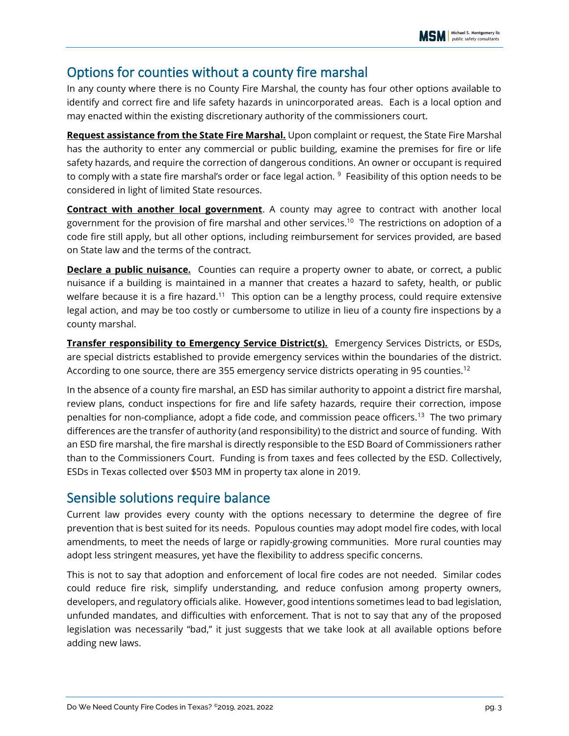## Options for counties without a county fire marshal

In any county where there is no County Fire Marshal, the county has four other options available to identify and correct fire and life safety hazards in unincorporated areas. Each is a local option and may enacted within the existing discretionary authority of the commissioners court.

**Request assistance from the State Fire Marshal.** Upon complaint or request, the State Fire Marshal has the authority to enter any commercial or public building, examine the premises for fire or life safety hazards, and require the correction of dangerous conditions. An owner or occupant is required to comply with a state fire marshal's order or face legal action. <sup>9</sup> Feasibility of this option needs to be considered in light of limited State resources.

**Contract with another local government**. A county may agree to contract with another local government for the provision of fire marshal and other services.<sup>10</sup> The restrictions on adoption of a code fire still apply, but all other options, including reimbursement for services provided, are based on State law and the terms of the contract.

**Declare a public nuisance.** Counties can require a property owner to abate, or correct, a public nuisance if a building is maintained in a manner that creates a hazard to safety, health, or public welfare because it is a fire hazard.<sup>11</sup> This option can be a lengthy process, could require extensive legal action, and may be too costly or cumbersome to utilize in lieu of a county fire inspections by a county marshal.

**Transfer responsibility to Emergency Service District(s).** Emergency Services Districts, or ESDs, are special districts established to provide emergency services within the boundaries of the district. According to one source, there are 355 emergency service districts operating in 95 counties.<sup>12</sup>

In the absence of a county fire marshal, an ESD has similar authority to appoint a district fire marshal, review plans, conduct inspections for fire and life safety hazards, require their correction, impose penalties for non-compliance, adopt a fide code, and commission peace officers.<sup>13</sup> The two primary differences are the transfer of authority (and responsibility) to the district and source of funding. With an ESD fire marshal, the fire marshal is directly responsible to the ESD Board of Commissioners rather than to the Commissioners Court. Funding is from taxes and fees collected by the ESD. Collectively, ESDs in Texas collected over \$503 MM in property tax alone in 2019.

#### Sensible solutions require balance

Current law provides every county with the options necessary to determine the degree of fire prevention that is best suited for its needs. Populous counties may adopt model fire codes, with local amendments, to meet the needs of large or rapidly-growing communities. More rural counties may adopt less stringent measures, yet have the flexibility to address specific concerns.

This is not to say that adoption and enforcement of local fire codes are not needed. Similar codes could reduce fire risk, simplify understanding, and reduce confusion among property owners, developers, and regulatory officials alike. However, good intentions sometimes lead to bad legislation, unfunded mandates, and difficulties with enforcement. That is not to say that any of the proposed legislation was necessarily "bad," it just suggests that we take look at all available options before adding new laws.